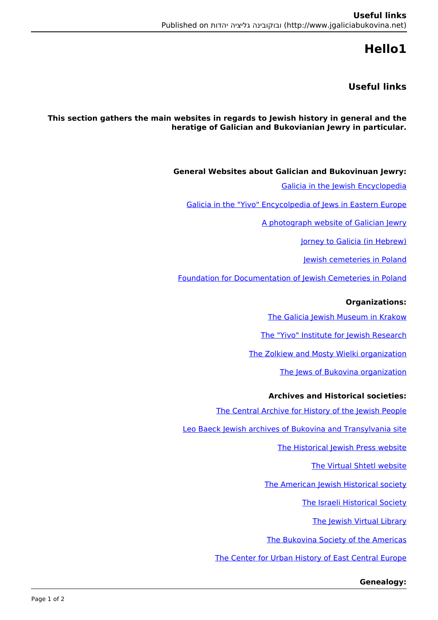# **1Hello**

## **links Useful**

This section gathers the main websites in regards to Jewish history in general and the **heratige of Galician and Bukovianian lewry in particular.** 

**General Websites about Galician and Bukovinuan lewry:** 

Galicia in the Jewish Encyclopedia

Galicia in the "Yivo" Encycolpedia of Iews in Eastern Europe

A photograph website of Galician Jewry

(Jorney to Galicia (in Hebrew)

Jewish cemeteries in Poland

Foundation for Documentation of Iewish Cemeteries in Poland

### **:Organizations**

The Galicia Jewish Museum in Krakow

The "Yivo" Institute for Iewish Research

The Zolkiew and Mosty Wielki organization

The lews of Bukovina organization

#### **Archives and Historical societies:**

The Central Archive for History of the Jewish People

Leo Baeck Jewish archives of Bukovina and Transylvania site

The Historical Jewish Press website

The Virtual Shtetl website

The American Jewish Historical society

The Israeli Historical Society

The Jewish Virtual Library

The Bukovina Society of the Americas

The Center for Urban History of East Central Europe

#### **:Genealogy**